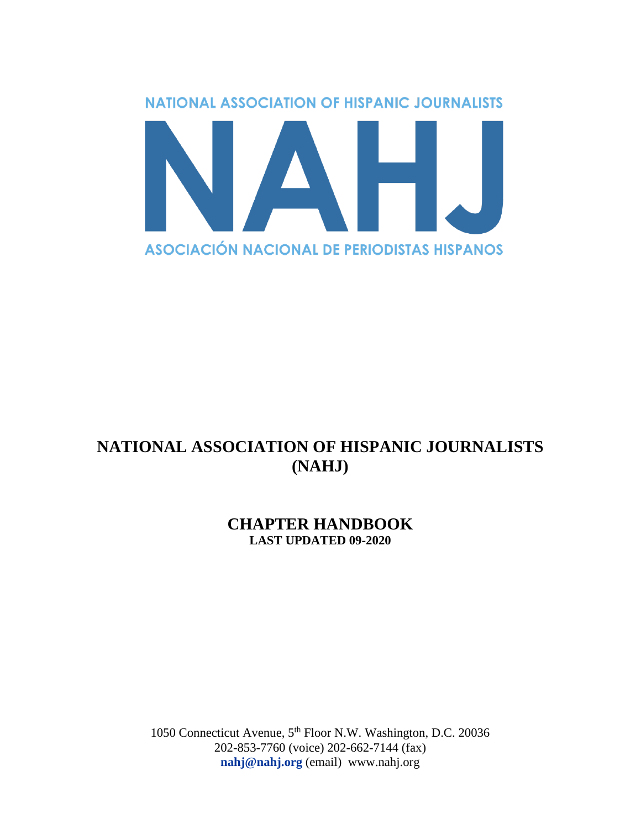

# **NATIONAL ASSOCIATION OF HISPANIC JOURNALISTS (NAHJ)**

# **CHAPTER HANDBOOK LAST UPDATED 09-2020**

1050 Connecticut Avenue, 5th Floor N.W. Washington, D.C. 20036 202-853-7760 (voice) 202-662-7144 (fax) **[nahj@nahj.org](mailto:nahj@nahj.org)** (email) www.nahj.org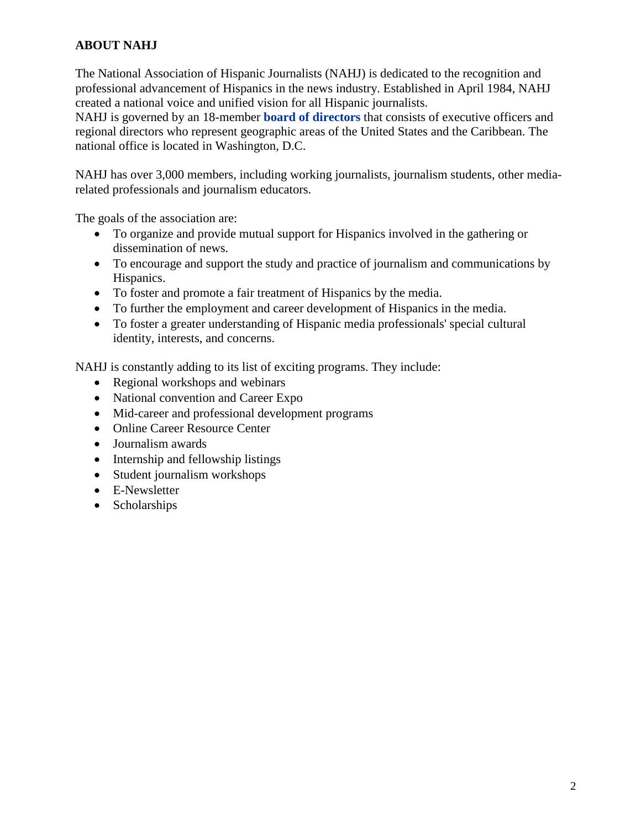# **ABOUT NAHJ**

The National Association of Hispanic Journalists (NAHJ) is dedicated to the recognition and professional advancement of Hispanics in the news industry. Established in April 1984, NAHJ created a national voice and unified vision for all Hispanic journalists.

NAHJ is governed by an 18-member **[board of directors](https://nahj.org/board-members/)** that consists of executive officers and regional directors who represent geographic areas of the United States and the Caribbean. The national office is located in Washington, D.C.

NAHJ has over 3,000 members, including working journalists, journalism students, other mediarelated professionals and journalism educators.

The goals of the association are:

- To organize and provide mutual support for Hispanics involved in the gathering or dissemination of news.
- To encourage and support the study and practice of journalism and communications by Hispanics.
- To foster and promote a fair treatment of Hispanics by the media.
- To further the employment and career development of Hispanics in the media.
- To foster a greater understanding of Hispanic media professionals' special cultural identity, interests, and concerns.

NAHJ is constantly adding to its list of exciting programs. They include:

- Regional workshops and webinars
- National convention and Career Expo
- Mid-career and professional development programs
- Online Career Resource Center
- Journalism awards
- Internship and fellowship listings
- Student journalism workshops
- E-Newsletter
- Scholarships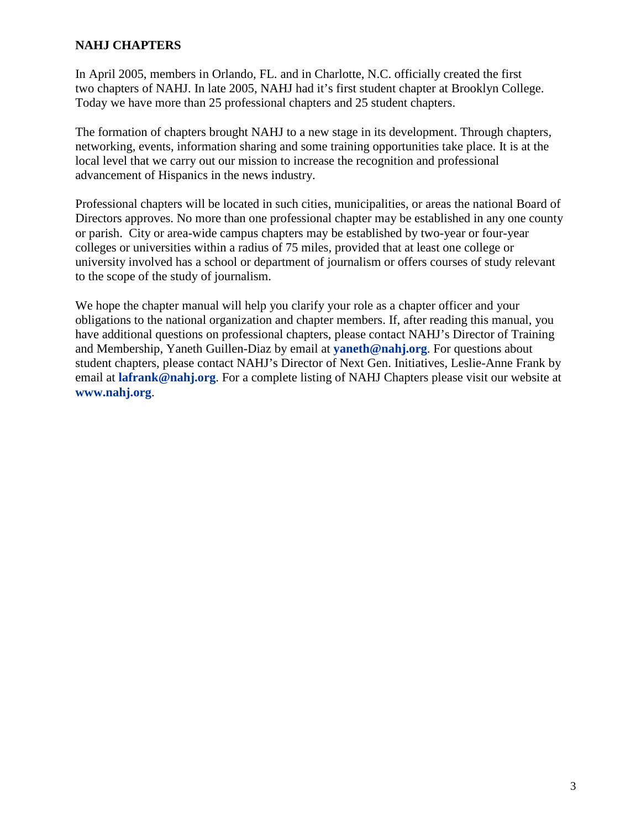# **NAHJ CHAPTERS**

In April 2005, members in Orlando, FL. and in Charlotte, N.C. officially created the first two chapters of NAHJ. In late 2005, NAHJ had it's first student chapter at Brooklyn College. Today we have more than 25 professional chapters and 25 student chapters.

The formation of chapters brought NAHJ to a new stage in its development. Through chapters, networking, events, information sharing and some training opportunities take place. It is at the local level that we carry out our mission to increase the recognition and professional advancement of Hispanics in the news industry.

Professional chapters will be located in such cities, municipalities, or areas the national Board of Directors approves. No more than one professional chapter may be established in any one county or parish. City or area-wide campus chapters may be established by two-year or four-year colleges or universities within a radius of 75 miles, provided that at least one college or university involved has a school or department of journalism or offers courses of study relevant to the scope of the study of journalism.

We hope the chapter manual will help you clarify your role as a chapter officer and your obligations to the national organization and chapter members. If, after reading this manual, you have additional questions on professional chapters, please contact NAHJ's Director of Training and Membership, Yaneth Guillen-Diaz by email at **[yaneth@nahj.org](mailto:yaneth@nahj.org)**. For questions about student chapters, please contact NAHJ's Director of Next Gen. Initiatives, Leslie-Anne Frank by email at **[lafrank@nahj.org](mailto:lafrank@nahj.org)**. For a complete listing of NAHJ Chapters please visit our website at **[www.nahj.org](http://www.nahj.org/)**.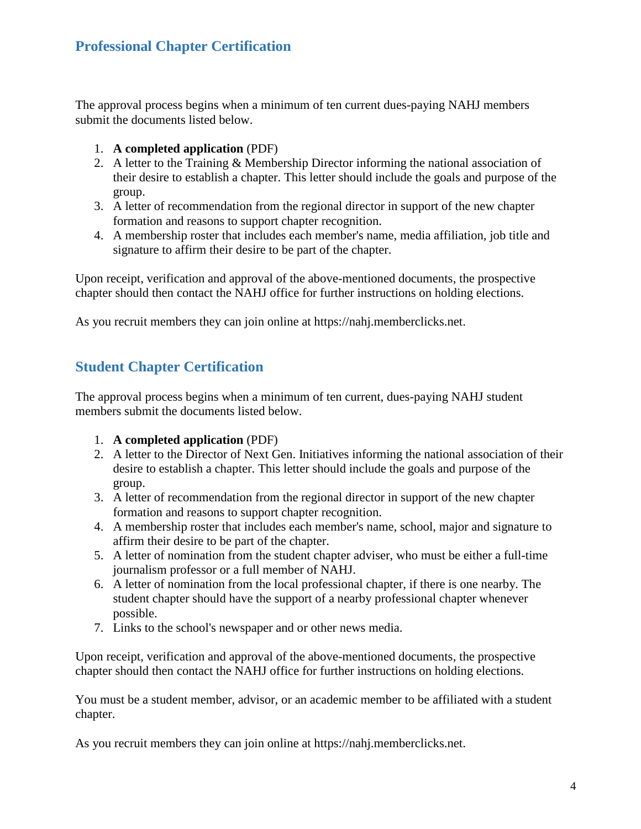# **Professional Chapter Certification**

The approval process begins when a minimum of ten current dues-paying NAHJ members submit the documents listed below.

- 1. **[A completed application](https://nahj.memberclicks.net/)** (PDF)
- 2. A letter to the Training & Membership Director informing the national association of their desire to establish a chapter. This letter should include the goals and purpose of the group.
- 3. A letter of recommendation from the regional director in support of the new chapter formation and reasons to support chapter recognition.
- 4. A membership roster that includes each member's name, media affiliation, job title and signature to affirm their desire to be part of the chapter.

Upon receipt, verification and approval of the above-mentioned documents, the prospective chapter should then contact the NAHJ office for further instructions on holding elections.

As you recruit members they can join online at https://nahj.memberclicks.net.

# **Student Chapter Certification**

The approval process begins when a minimum of ten current, dues-paying NAHJ student members submit the documents listed below.

- 1. **[A completed application](https://nahj.memberclicks.net/)** (PDF)
- 2. A letter to the Director of Next Gen. Initiatives informing the national association of their desire to establish a chapter. This letter should include the goals and purpose of the group.
- 3. A letter of recommendation from the regional director in support of the new chapter formation and reasons to support chapter recognition.
- 4. A membership roster that includes each member's name, school, major and signature to affirm their desire to be part of the chapter.
- 5. A letter of nomination from the student chapter adviser, who must be either a full-time journalism professor or a full member of NAHJ.
- 6. A letter of nomination from the local professional chapter, if there is one nearby. The student chapter should have the support of a nearby professional chapter whenever possible.
- 7. Links to the school's newspaper and or other news media.

Upon receipt, verification and approval of the above-mentioned documents, the prospective chapter should then contact the NAHJ office for further instructions on holding elections.

You must be a student member, advisor, or an academic member to be affiliated with a student chapter.

As you recruit members they can join online at https://nahj.memberclicks.net.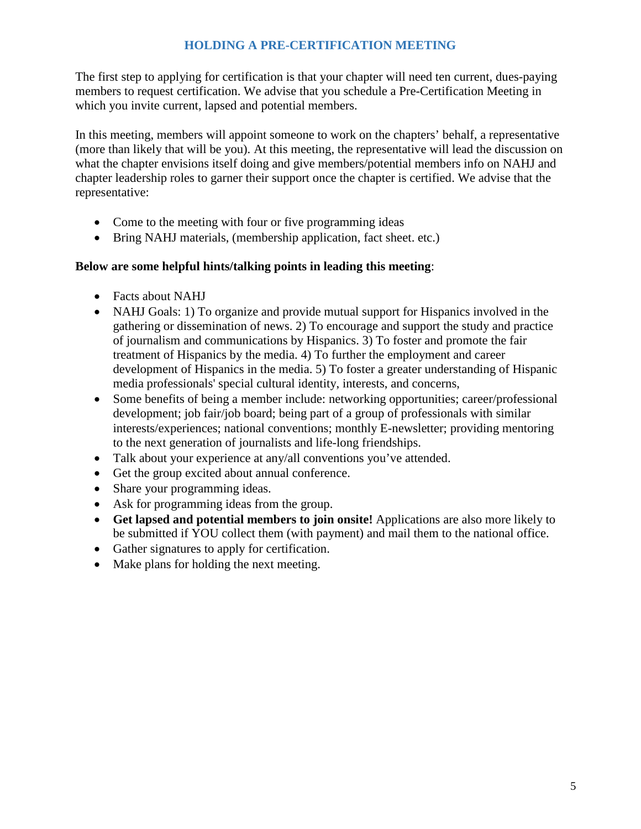# **HOLDING A PRE-CERTIFICATION MEETING**

The first step to applying for certification is that your chapter will need ten current, dues-paying members to request certification. We advise that you schedule a Pre-Certification Meeting in which you invite current, lapsed and potential members.

In this meeting, members will appoint someone to work on the chapters' behalf, a representative (more than likely that will be you). At this meeting, the representative will lead the discussion on what the chapter envisions itself doing and give members/potential members info on NAHJ and chapter leadership roles to garner their support once the chapter is certified. We advise that the representative:

- Come to the meeting with four or five programming ideas
- Bring NAHJ materials, (membership application, fact sheet. etc.)

# **Below are some helpful hints/talking points in leading this meeting**:

- Facts about NAHJ
- NAHJ Goals: 1) To organize and provide mutual support for Hispanics involved in the gathering or dissemination of news. 2) To encourage and support the study and practice of journalism and communications by Hispanics. 3) To foster and promote the fair treatment of Hispanics by the media. 4) To further the employment and career development of Hispanics in the media. 5) To foster a greater understanding of Hispanic media professionals' special cultural identity, interests, and concerns,
- Some benefits of being a member include: networking opportunities; career/professional development; job fair/job board; being part of a group of professionals with similar interests/experiences; national conventions; monthly E-newsletter; providing mentoring to the next generation of journalists and life-long friendships.
- Talk about your experience at any/all conventions you've attended.
- Get the group excited about annual conference.
- Share your programming ideas.
- Ask for programming ideas from the group.
- **Get lapsed and potential members to join onsite!** Applications are also more likely to be submitted if YOU collect them (with payment) and mail them to the national office.
- Gather signatures to apply for certification.
- Make plans for holding the next meeting.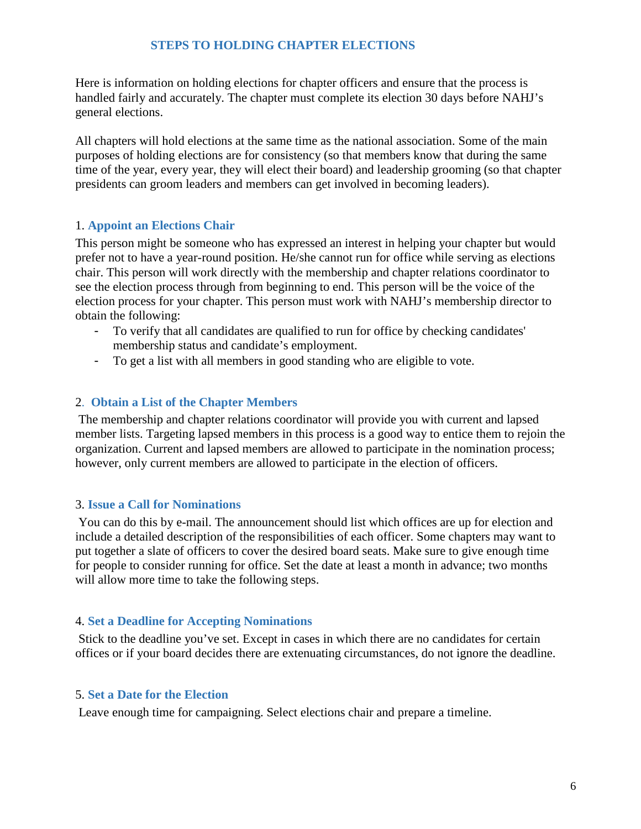# **STEPS TO HOLDING CHAPTER ELECTIONS**

Here is information on holding elections for chapter officers and ensure that the process is handled fairly and accurately. The chapter must complete its election 30 days before NAHJ's general elections.

All chapters will hold elections at the same time as the national association. Some of the main purposes of holding elections are for consistency (so that members know that during the same time of the year, every year, they will elect their board) and leadership grooming (so that chapter presidents can groom leaders and members can get involved in becoming leaders).

#### 1. **Appoint an Elections Chair**

This person might be someone who has expressed an interest in helping your chapter but would prefer not to have a year-round position. He/she cannot run for office while serving as elections chair. This person will work directly with the membership and chapter relations coordinator to see the election process through from beginning to end. This person will be the voice of the election process for your chapter. This person must work with NAHJ's membership director to obtain the following:

- To verify that all candidates are qualified to run for office by checking candidates' membership status and candidate's employment.
- To get a list with all members in good standing who are eligible to vote.

#### 2. **Obtain a List of the Chapter Members**

The membership and chapter relations coordinator will provide you with current and lapsed member lists. Targeting lapsed members in this process is a good way to entice them to rejoin the organization. Current and lapsed members are allowed to participate in the nomination process; however, only current members are allowed to participate in the election of officers.

#### 3. **Issue a Call for Nominations**

You can do this by e-mail. The announcement should list which offices are up for election and include a detailed description of the responsibilities of each officer. Some chapters may want to put together a slate of officers to cover the desired board seats. Make sure to give enough time for people to consider running for office. Set the date at least a month in advance; two months will allow more time to take the following steps.

#### 4. **Set a Deadline for Accepting Nominations**

Stick to the deadline you've set. Except in cases in which there are no candidates for certain offices or if your board decides there are extenuating circumstances, do not ignore the deadline.

#### 5. **Set a Date for the Election**

Leave enough time for campaigning. Select elections chair and prepare a timeline.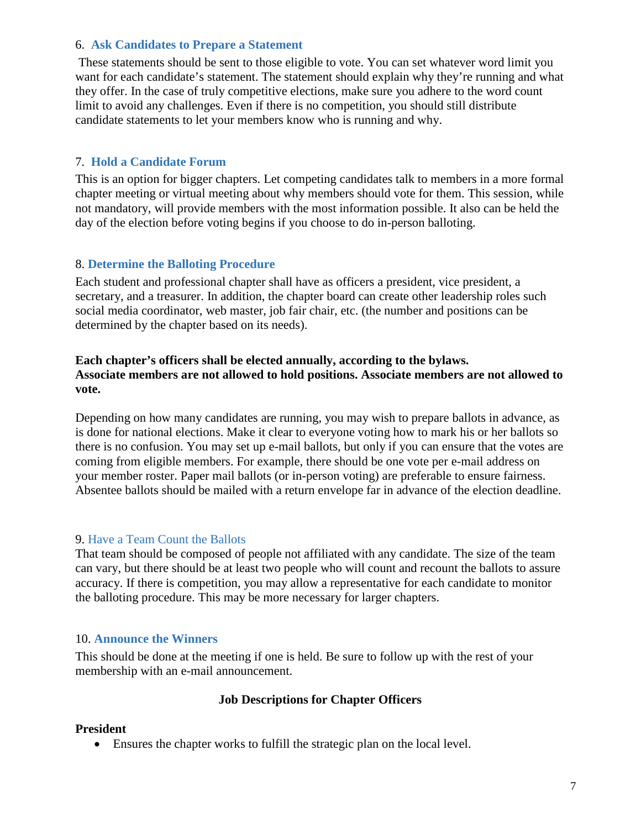#### 6. **Ask Candidates to Prepare a Statement**

These statements should be sent to those eligible to vote. You can set whatever word limit you want for each candidate's statement. The statement should explain why they're running and what they offer. In the case of truly competitive elections, make sure you adhere to the word count limit to avoid any challenges. Even if there is no competition, you should still distribute candidate statements to let your members know who is running and why.

# 7. **Hold a Candidate Forum**

This is an option for bigger chapters. Let competing candidates talk to members in a more formal chapter meeting or virtual meeting about why members should vote for them. This session, while not mandatory, will provide members with the most information possible. It also can be held the day of the election before voting begins if you choose to do in-person balloting.

# 8. **Determine the Balloting Procedure**

Each student and professional chapter shall have as officers a president, vice president, a secretary, and a treasurer. In addition, the chapter board can create other leadership roles such social media coordinator, web master, job fair chair, etc. (the number and positions can be determined by the chapter based on its needs).

# **Each chapter's officers shall be elected annually, according to the bylaws. Associate members are not allowed to hold positions. Associate members are not allowed to vote.**

Depending on how many candidates are running, you may wish to prepare ballots in advance, as is done for national elections. Make it clear to everyone voting how to mark his or her ballots so there is no confusion. You may set up e-mail ballots, but only if you can ensure that the votes are coming from eligible members. For example, there should be one vote per e-mail address on your member roster. Paper mail ballots (or in-person voting) are preferable to ensure fairness. Absentee ballots should be mailed with a return envelope far in advance of the election deadline.

# 9. Have a Team Count the Ballots

That team should be composed of people not affiliated with any candidate. The size of the team can vary, but there should be at least two people who will count and recount the ballots to assure accuracy. If there is competition, you may allow a representative for each candidate to monitor the balloting procedure. This may be more necessary for larger chapters.

# 10. **Announce the Winners**

This should be done at the meeting if one is held. Be sure to follow up with the rest of your membership with an e-mail announcement.

# **Job Descriptions for Chapter Officers**

#### **President**

• Ensures the chapter works to fulfill the strategic plan on the local level.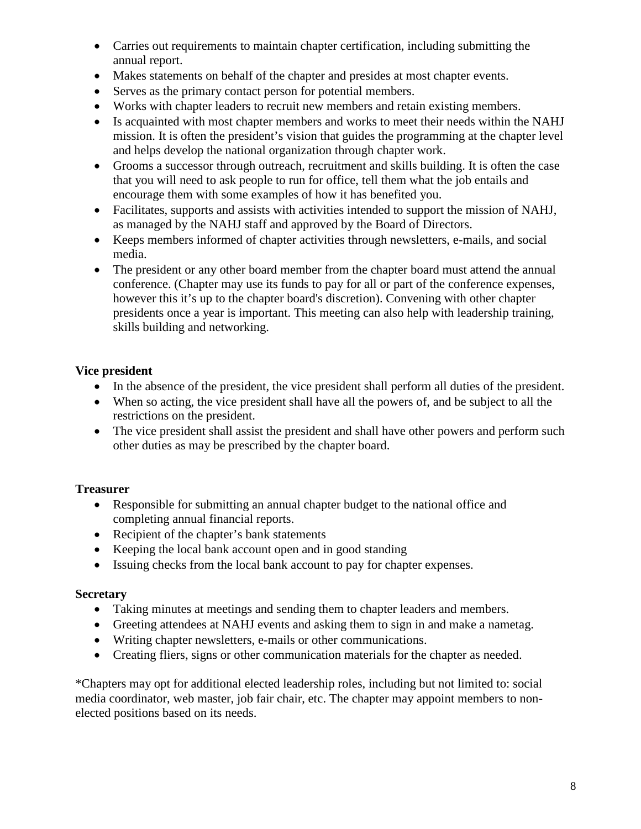- Carries out requirements to maintain chapter certification, including submitting the annual report.
- Makes statements on behalf of the chapter and presides at most chapter events.
- Serves as the primary contact person for potential members.
- Works with chapter leaders to recruit new members and retain existing members.
- Is acquainted with most chapter members and works to meet their needs within the NAHJ mission. It is often the president's vision that guides the programming at the chapter level and helps develop the national organization through chapter work.
- Grooms a successor through outreach, recruitment and skills building. It is often the case that you will need to ask people to run for office, tell them what the job entails and encourage them with some examples of how it has benefited you.
- Facilitates, supports and assists with activities intended to support the mission of NAHJ, as managed by the NAHJ staff and approved by the Board of Directors.
- Keeps members informed of chapter activities through newsletters, e-mails, and social media.
- The president or any other board member from the chapter board must attend the annual conference. (Chapter may use its funds to pay for all or part of the conference expenses, however this it's up to the chapter board's discretion). Convening with other chapter presidents once a year is important. This meeting can also help with leadership training, skills building and networking.

# **Vice president**

- In the absence of the president, the vice president shall perform all duties of the president.
- When so acting, the vice president shall have all the powers of, and be subject to all the restrictions on the president.
- The vice president shall assist the president and shall have other powers and perform such other duties as may be prescribed by the chapter board.

# **Treasurer**

- Responsible for submitting an annual chapter budget to the national office and completing annual financial reports.
- Recipient of the chapter's bank statements
- Keeping the local bank account open and in good standing
- Issuing checks from the local bank account to pay for chapter expenses.

# **Secretary**

- Taking minutes at meetings and sending them to chapter leaders and members.
- Greeting attendees at NAHJ events and asking them to sign in and make a nametag.
- Writing chapter newsletters, e-mails or other communications.
- Creating fliers, signs or other communication materials for the chapter as needed.

\*Chapters may opt for additional elected leadership roles, including but not limited to: social media coordinator, web master, job fair chair, etc. The chapter may appoint members to nonelected positions based on its needs.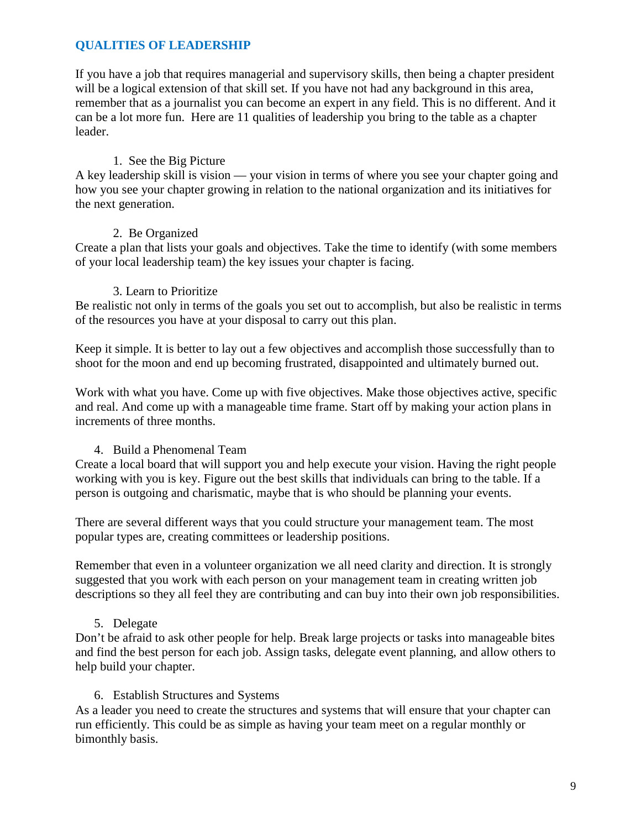# **QUALITIES OF LEADERSHIP**

If you have a job that requires managerial and supervisory skills, then being a chapter president will be a logical extension of that skill set. If you have not had any background in this area, remember that as a journalist you can become an expert in any field. This is no different. And it can be a lot more fun. Here are 11 qualities of leadership you bring to the table as a chapter leader.

# 1. See the Big Picture

A key leadership skill is vision — your vision in terms of where you see your chapter going and how you see your chapter growing in relation to the national organization and its initiatives for the next generation.

#### 2. Be Organized

Create a plan that lists your goals and objectives. Take the time to identify (with some members of your local leadership team) the key issues your chapter is facing.

#### 3. Learn to Prioritize

Be realistic not only in terms of the goals you set out to accomplish, but also be realistic in terms of the resources you have at your disposal to carry out this plan.

Keep it simple. It is better to lay out a few objectives and accomplish those successfully than to shoot for the moon and end up becoming frustrated, disappointed and ultimately burned out.

Work with what you have. Come up with five objectives. Make those objectives active, specific and real. And come up with a manageable time frame. Start off by making your action plans in increments of three months.

# 4. Build a Phenomenal Team

Create a local board that will support you and help execute your vision. Having the right people working with you is key. Figure out the best skills that individuals can bring to the table. If a person is outgoing and charismatic, maybe that is who should be planning your events.

There are several different ways that you could structure your management team. The most popular types are, creating committees or leadership positions.

Remember that even in a volunteer organization we all need clarity and direction. It is strongly suggested that you work with each person on your management team in creating written job descriptions so they all feel they are contributing and can buy into their own job responsibilities.

# 5. Delegate

Don't be afraid to ask other people for help. Break large projects or tasks into manageable bites and find the best person for each job. Assign tasks, delegate event planning, and allow others to help build your chapter.

#### 6. Establish Structures and Systems

As a leader you need to create the structures and systems that will ensure that your chapter can run efficiently. This could be as simple as having your team meet on a regular monthly or bimonthly basis.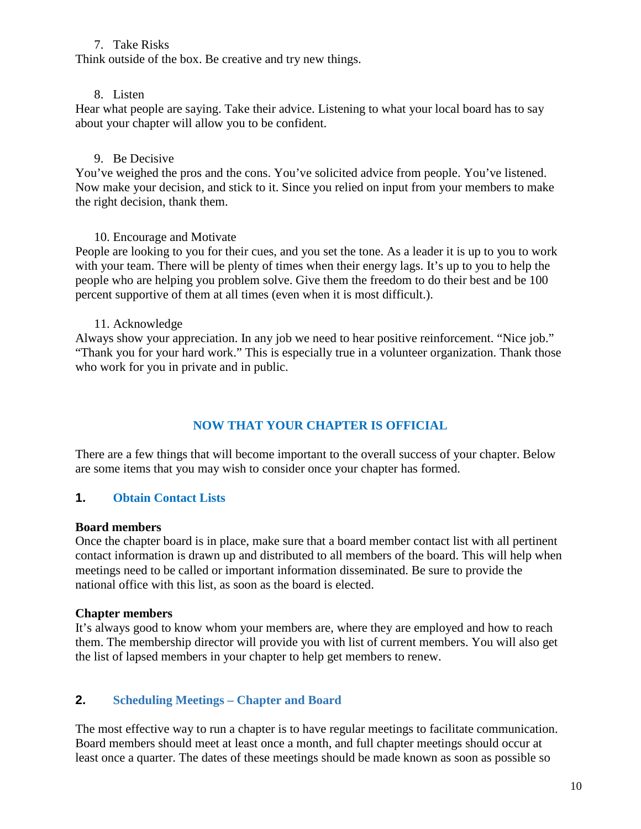### 7. Take Risks

Think outside of the box. Be creative and try new things.

#### 8. Listen

Hear what people are saying. Take their advice. Listening to what your local board has to say about your chapter will allow you to be confident.

#### 9. Be Decisive

You've weighed the pros and the cons. You've solicited advice from people. You've listened. Now make your decision, and stick to it. Since you relied on input from your members to make the right decision, thank them.

#### 10. Encourage and Motivate

People are looking to you for their cues, and you set the tone. As a leader it is up to you to work with your team. There will be plenty of times when their energy lags. It's up to you to help the people who are helping you problem solve. Give them the freedom to do their best and be 100 percent supportive of them at all times (even when it is most difficult.).

#### 11. Acknowledge

Always show your appreciation. In any job we need to hear positive reinforcement. "Nice job." "Thank you for your hard work." This is especially true in a volunteer organization. Thank those who work for you in private and in public.

# **NOW THAT YOUR CHAPTER IS OFFICIAL**

There are a few things that will become important to the overall success of your chapter. Below are some items that you may wish to consider once your chapter has formed.

# **1. Obtain Contact Lists**

#### **Board members**

Once the chapter board is in place, make sure that a board member contact list with all pertinent contact information is drawn up and distributed to all members of the board. This will help when meetings need to be called or important information disseminated. Be sure to provide the national office with this list, as soon as the board is elected.

#### **Chapter members**

It's always good to know whom your members are, where they are employed and how to reach them. The membership director will provide you with list of current members. You will also get the list of lapsed members in your chapter to help get members to renew.

# **2. Scheduling Meetings – Chapter and Board**

The most effective way to run a chapter is to have regular meetings to facilitate communication. Board members should meet at least once a month, and full chapter meetings should occur at least once a quarter. The dates of these meetings should be made known as soon as possible so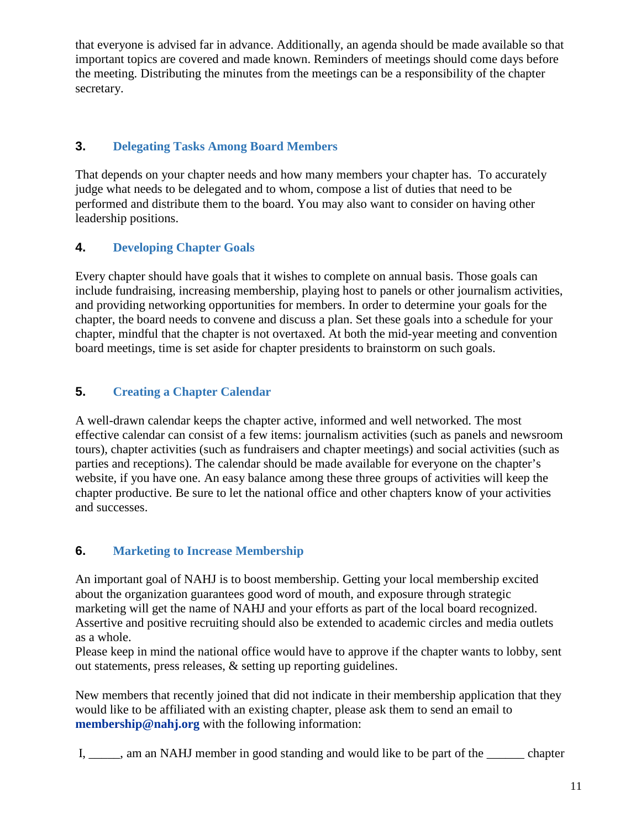that everyone is advised far in advance. Additionally, an agenda should be made available so that important topics are covered and made known. Reminders of meetings should come days before the meeting. Distributing the minutes from the meetings can be a responsibility of the chapter secretary.

# **3. Delegating Tasks Among Board Members**

That depends on your chapter needs and how many members your chapter has. To accurately judge what needs to be delegated and to whom, compose a list of duties that need to be performed and distribute them to the board. You may also want to consider on having other leadership positions.

# **4. Developing Chapter Goals**

Every chapter should have goals that it wishes to complete on annual basis. Those goals can include fundraising, increasing membership, playing host to panels or other journalism activities, and providing networking opportunities for members. In order to determine your goals for the chapter, the board needs to convene and discuss a plan. Set these goals into a schedule for your chapter, mindful that the chapter is not overtaxed. At both the mid-year meeting and convention board meetings, time is set aside for chapter presidents to brainstorm on such goals.

# **5. Creating a Chapter Calendar**

A well-drawn calendar keeps the chapter active, informed and well networked. The most effective calendar can consist of a few items: journalism activities (such as panels and newsroom tours), chapter activities (such as fundraisers and chapter meetings) and social activities (such as parties and receptions). The calendar should be made available for everyone on the chapter's website, if you have one. An easy balance among these three groups of activities will keep the chapter productive. Be sure to let the national office and other chapters know of your activities and successes.

# **6. Marketing to Increase Membership**

An important goal of NAHJ is to boost membership. Getting your local membership excited about the organization guarantees good word of mouth, and exposure through strategic marketing will get the name of NAHJ and your efforts as part of the local board recognized. Assertive and positive recruiting should also be extended to academic circles and media outlets as a whole.

Please keep in mind the national office would have to approve if the chapter wants to lobby, sent out statements, press releases, & setting up reporting guidelines.

New members that recently joined that did not indicate in their membership application that they would like to be affiliated with an existing chapter, please ask them to send an email to **[membership@nahj.org](mailto:membership@nahj.org)** with the following information:

I, \_\_\_\_\_, am an NAHJ member in good standing and would like to be part of the \_\_\_\_\_\_\_ chapter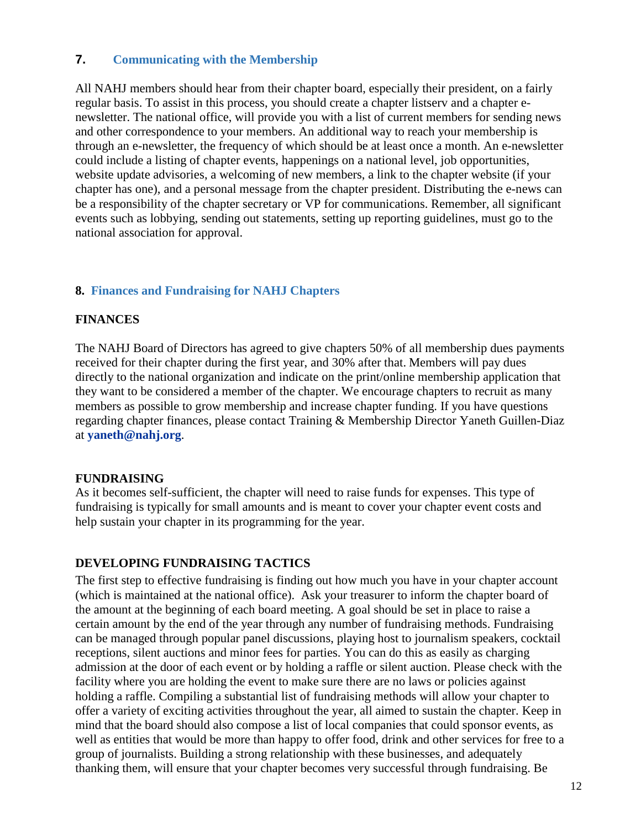# **7. Communicating with the Membership**

All NAHJ members should hear from their chapter board, especially their president, on a fairly regular basis. To assist in this process, you should create a chapter listserv and a chapter enewsletter. The national office, will provide you with a list of current members for sending news and other correspondence to your members. An additional way to reach your membership is through an e-newsletter, the frequency of which should be at least once a month. An e-newsletter could include a listing of chapter events, happenings on a national level, job opportunities, website update advisories, a welcoming of new members, a link to the chapter website (if your chapter has one), and a personal message from the chapter president. Distributing the e-news can be a responsibility of the chapter secretary or VP for communications. Remember, all significant events such as lobbying, sending out statements, setting up reporting guidelines, must go to the national association for approval.

#### **8. Finances and Fundraising for NAHJ Chapters**

#### **FINANCES**

The NAHJ Board of Directors has agreed to give chapters 50% of all membership dues payments received for their chapter during the first year, and 30% after that. Members will pay dues directly to the national organization and indicate on the print/online membership application that they want to be considered a member of the chapter. We encourage chapters to recruit as many members as possible to grow membership and increase chapter funding. If you have questions regarding chapter finances, please contact Training & Membership Director Yaneth Guillen-Diaz at **[yaneth@nahj.org](mailto:yaneth@nahj.org)**.

#### **FUNDRAISING**

As it becomes self-sufficient, the chapter will need to raise funds for expenses. This type of fundraising is typically for small amounts and is meant to cover your chapter event costs and help sustain your chapter in its programming for the year.

#### **DEVELOPING FUNDRAISING TACTICS**

The first step to effective fundraising is finding out how much you have in your chapter account (which is maintained at the national office). Ask your treasurer to inform the chapter board of the amount at the beginning of each board meeting. A goal should be set in place to raise a certain amount by the end of the year through any number of fundraising methods. Fundraising can be managed through popular panel discussions, playing host to journalism speakers, cocktail receptions, silent auctions and minor fees for parties. You can do this as easily as charging admission at the door of each event or by holding a raffle or silent auction. Please check with the facility where you are holding the event to make sure there are no laws or policies against holding a raffle. Compiling a substantial list of fundraising methods will allow your chapter to offer a variety of exciting activities throughout the year, all aimed to sustain the chapter. Keep in mind that the board should also compose a list of local companies that could sponsor events, as well as entities that would be more than happy to offer food, drink and other services for free to a group of journalists. Building a strong relationship with these businesses, and adequately thanking them, will ensure that your chapter becomes very successful through fundraising. Be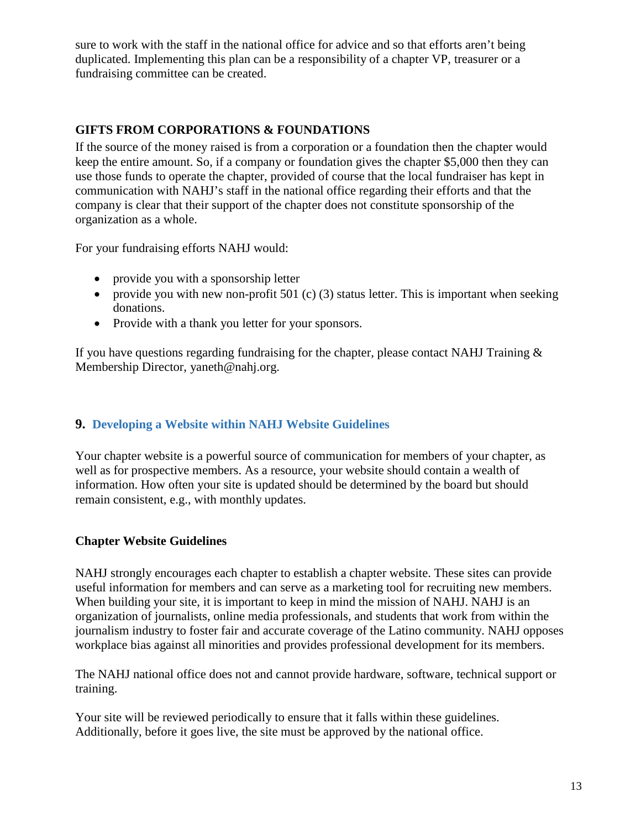sure to work with the staff in the national office for advice and so that efforts aren't being duplicated. Implementing this plan can be a responsibility of a chapter VP, treasurer or a fundraising committee can be created.

# **GIFTS FROM CORPORATIONS & FOUNDATIONS**

If the source of the money raised is from a corporation or a foundation then the chapter would keep the entire amount. So, if a company or foundation gives the chapter \$5,000 then they can use those funds to operate the chapter, provided of course that the local fundraiser has kept in communication with NAHJ's staff in the national office regarding their efforts and that the company is clear that their support of the chapter does not constitute sponsorship of the organization as a whole.

For your fundraising efforts NAHJ would:

- provide you with a sponsorship letter
- provide you with new non-profit 501 (c) (3) status letter. This is important when seeking donations.
- Provide with a thank you letter for your sponsors.

If you have questions regarding fundraising for the chapter, please contact NAHJ Training  $\&$ Membership Director, [yaneth@nahj.org.](mailto:yaneth@nahj.org)

# **9. Developing a Website within NAHJ Website Guidelines**

Your chapter website is a powerful source of communication for members of your chapter, as well as for prospective members. As a resource, your website should contain a wealth of information. How often your site is updated should be determined by the board but should remain consistent, e.g., with monthly updates.

# **Chapter Website Guidelines**

NAHJ strongly encourages each chapter to establish a chapter website. These sites can provide useful information for members and can serve as a marketing tool for recruiting new members. When building your site, it is important to keep in mind the mission of NAHJ. NAHJ is an organization of journalists, online media professionals, and students that work from within the journalism industry to foster fair and accurate coverage of the Latino community. NAHJ opposes workplace bias against all minorities and provides professional development for its members.

The NAHJ national office does not and cannot provide hardware, software, technical support or training.

Your site will be reviewed periodically to ensure that it falls within these guidelines. Additionally, before it goes live, the site must be approved by the national office.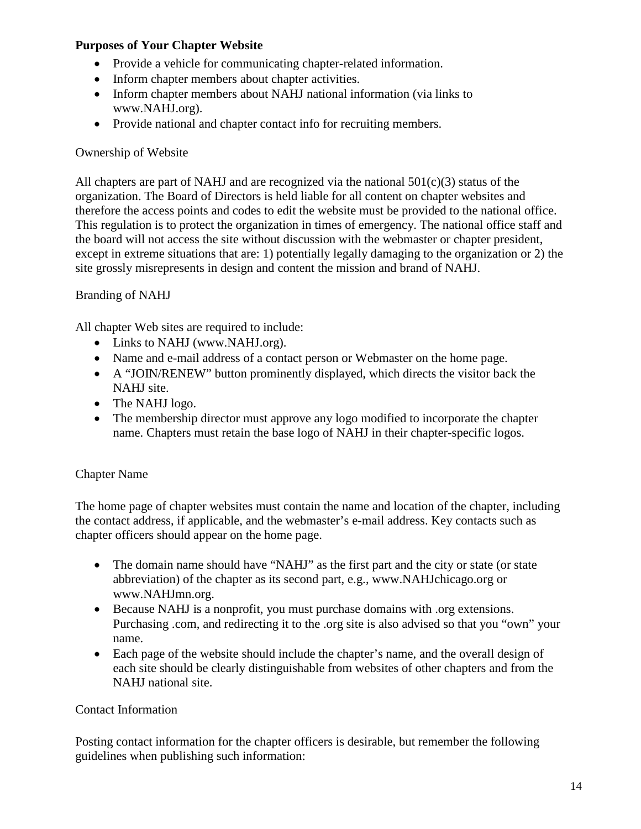# **Purposes of Your Chapter Website**

- Provide a vehicle for communicating chapter-related information.
- Inform chapter members about chapter activities.
- Inform chapter members about NAHJ national information (via links to [www.NAHJ.org\)](http://www.nlgja.org/).
- Provide national and chapter contact info for recruiting members.

# Ownership of Website

All chapters are part of NAHJ and are recognized via the national  $501(c)(3)$  status of the organization. The Board of Directors is held liable for all content on chapter websites and therefore the access points and codes to edit the website must be provided to the national office. This regulation is to protect the organization in times of emergency. The national office staff and the board will not access the site without discussion with the webmaster or chapter president, except in extreme situations that are: 1) potentially legally damaging to the organization or 2) the site grossly misrepresents in design and content the mission and brand of NAHJ.

# Branding of NAHJ

All chapter Web sites are required to include:

- Links to NAHJ [\(www.NAHJ.org\)](http://www.nlgja.org/).
- Name and e-mail address of a contact person or Webmaster on the home page.
- A "JOIN/RENEW" button prominently displayed, which directs the visitor back the NAHJ site.
- The NAHJ logo.
- The membership director must approve any logo modified to incorporate the chapter name. Chapters must retain the base logo of NAHJ in their chapter-specific logos.

# Chapter Name

The home page of chapter websites must contain the name and location of the chapter, including the contact address, if applicable, and the webmaster's e-mail address. Key contacts such as chapter officers should appear on the home page.

- The domain name should have "NAHJ" as the first part and the city or state (or state abbreviation) of the chapter as its second part, e.g., [www.NAHJchicago.org](http://www.nlgjachicago.org/) or [www.NAHJmn.org.](http://www.nlgjamn.org/)
- Because NAHJ is a nonprofit, you must purchase domains with .org extensions. Purchasing .com, and redirecting it to the .org site is also advised so that you "own" your name.
- Each page of the website should include the chapter's name, and the overall design of each site should be clearly distinguishable from websites of other chapters and from the NAHJ national site.

# Contact Information

Posting contact information for the chapter officers is desirable, but remember the following guidelines when publishing such information: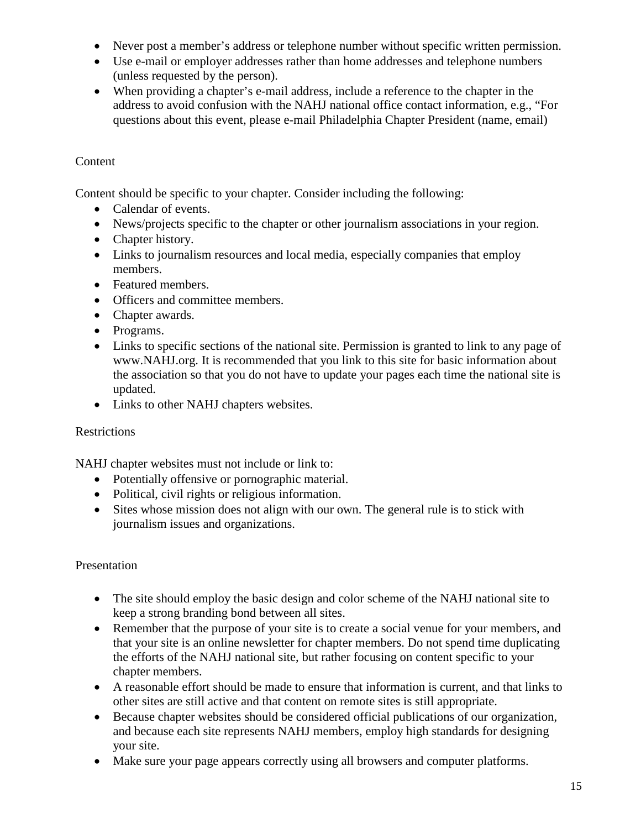- Never post a member's address or telephone number without specific written permission.
- Use e-mail or employer addresses rather than home addresses and telephone numbers (unless requested by the person).
- When providing a chapter's e-mail address, include a reference to the chapter in the address to avoid confusion with the NAHJ national office contact information, e.g., "For questions about this event, please e-mail Philadelphia Chapter President (name, email)

# Content

Content should be specific to your chapter. Consider including the following:

- Calendar of events.
- News/projects specific to the chapter or other journalism associations in your region.
- Chapter history.
- Links to journalism resources and local media, especially companies that employ members.
- Featured members.
- Officers and committee members.
- Chapter awards.
- Programs.
- Links to specific sections of the national site. Permission is granted to link to any page of [www.NAHJ.org.](http://www.nlgja.org/) It is recommended that you link to this site for basic information about the association so that you do not have to update your pages each time the national site is updated.
- Links to other NAHJ chapters websites.

# **Restrictions**

NAHJ chapter websites must not include or link to:

- Potentially offensive or pornographic material.
- Political, civil rights or religious information.
- Sites whose mission does not align with our own. The general rule is to stick with journalism issues and organizations.

# Presentation

- The site should employ the basic design and color scheme of the NAHJ national site to keep a strong branding bond between all sites.
- Remember that the purpose of your site is to create a social venue for your members, and that your site is an online newsletter for chapter members. Do not spend time duplicating the efforts of the NAHJ national site, but rather focusing on content specific to your chapter members.
- A reasonable effort should be made to ensure that information is current, and that links to other sites are still active and that content on remote sites is still appropriate.
- Because chapter websites should be considered official publications of our organization, and because each site represents NAHJ members, employ high standards for designing your site.
- Make sure your page appears correctly using all browsers and computer platforms.